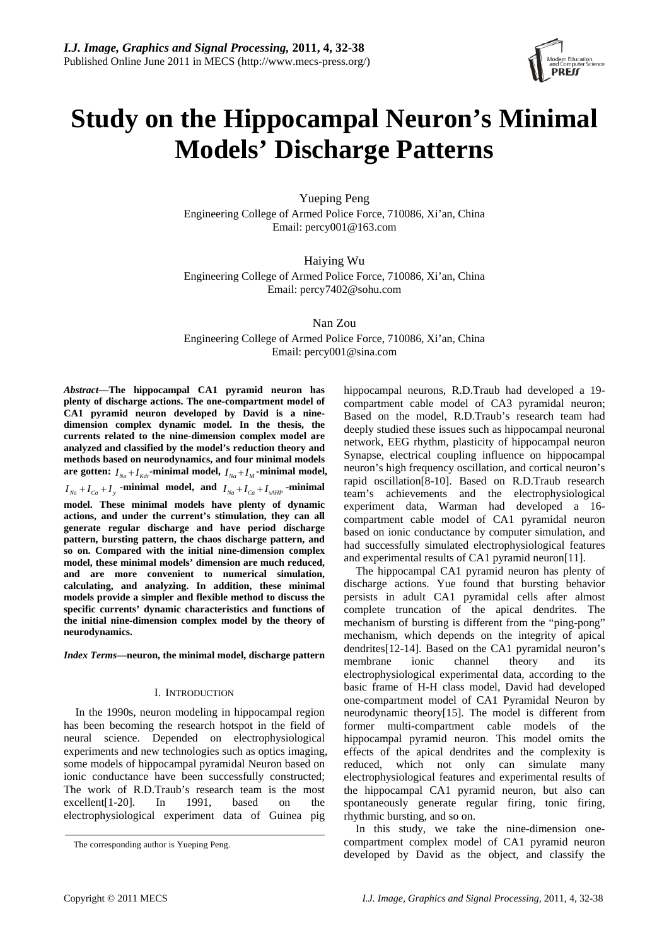

# **Study on the Hippocampal Neuron's Minimal Models' Discharge Patterns**

Yueping Peng Engineering College of Armed Police Force, 710086, Xi'an, China Email: [percy001@163.com](mailto:percy001@163.com) 

Haiying Wu Engineering College of Armed Police Force, 710086, Xi'an, China Email: percy7402@sohu.com

Nan Zou

Engineering College of Armed Police Force, 710086, Xi'an, China Email: percy001@sina.com

*Abstract***—The hippocampal CA1 pyramid neuron has plenty of discharge actions. The one-compartment model of CA1 pyramid neuron developed by David is a ninedimension complex dynamic model. In the thesis, the currents related to the nine-dimension complex model are analyzed and classified by the model's reduction theory and methods based on neurodynamics, and four minimal models**  are gotten:  $I_{Na} + I_{Kdr}$ -minimal model,  $I_{Na} + I_M$ -minimal model,  $I_{Na} + I_{Ca} + I_{y}$  **-minimal model, and**  $I_{Na} + I_{Ca} + I_{sAHP}$  **-minimal model. These minimal models have plenty of dynamic actions, and under the current's stimulation, they can all generate regular discharge and have period discharge pattern, bursting pattern, the chaos discharge pattern, and so on. Compared with the initial nine-dimension complex model, these minimal models' dimension are much reduced, and are more convenient to numerical simulation, calculating, and analyzing. In addition, these minimal models provide a simpler and flexible method to discuss the specific currents' dynamic characteristics and functions of the initial nine-dimension complex model by the theory of neurodynamics.** 

*Index Terms***—neuron, the minimal model, discharge pattern** 

## I. INTRODUCTION

In the 1990s, neuron modeling in hippocampal region has been becoming the research hotspot in the field of neural science. Depended on electrophysiological experiments and new technologies such as optics imaging, some models of hippocampal pyramidal Neuron based on ionic conductance have been successfully constructed; The work of R.D.Traub's research team is the most excellent[1-20]. In 1991, based on the electrophysiological experiment data of Guinea pig

hippocampal neurons, R.D.Traub had developed a 19 compartment cable model of CA3 pyramidal neuron; Based on the model, R.D.Traub's research team had deeply studied these issues such as hippocampal neuronal network, EEG rhythm, plasticity of hippocampal neuron Synapse, electrical coupling influence on hippocampal neuron's high frequency oscillation, and cortical neuron's rapid oscillation[8-10]. Based on R.D.Traub research team's achievements and the electrophysiological experiment data, Warman had developed a 16 compartment cable model of CA1 pyramidal neuron based on ionic conductance by computer simulation, and had successfully simulated electrophysiological features and experimental results of CA1 pyramid neuron[11].

The hippocampal CA1 pyramid neuron has plenty of discharge actions. Yue found that bursting behavior persists in adult CA1 pyramidal cells after almost complete truncation of the apical dendrites. The mechanism of bursting is different from the "ping-pong" mechanism, which depends on the integrity of apical dendrites[12-14]. Based on the CA1 pyramidal neuron's membrane ionic channel theory and its electrophysiological experimental data, according to the basic frame of H-H class model, David had developed one-compartment model of CA1 Pyramidal Neuron by neurodynamic theory[15]. The model is different from former multi-compartment cable models of the hippocampal pyramid neuron. This model omits the effects of the apical dendrites and the complexity is reduced, which not only can simulate many electrophysiological features and experimental results of the hippocampal CA1 pyramid neuron, but also can spontaneously generate regular firing, tonic firing, rhythmic bursting, and so on.

In this study, we take the nine-dimension onecompartment complex model of CA1 pyramid neuron developed by David as the object, and classify the

The corresponding author is Yueping Peng.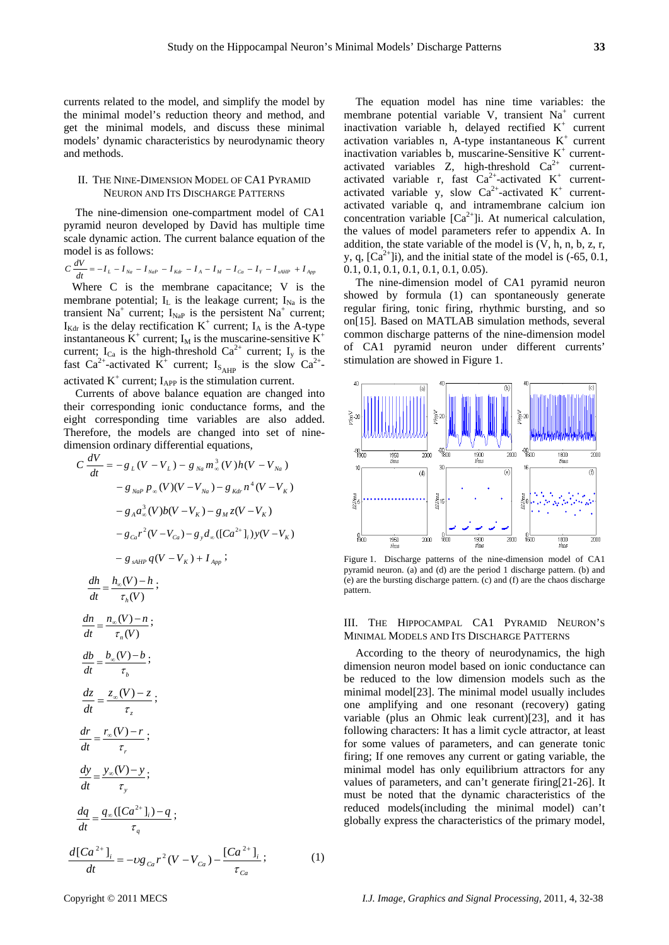currents related to the model, and simplify the model by the minimal model's reduction theory and method, and get the minimal models, and discuss these minimal models' dynamic characteristics by neurodynamic theory and methods.

## II. THE NINE-DIMENSION MODEL OF CA1 PYRAMID NEURON AND ITS DISCHARGE PATTERNS

The nine-dimension one-compartment model of CA1 pyramid neuron developed by David has multiple time scale dynamic action. The current balance equation of the model is as follows:

$$
C\frac{dV}{dt} = -I_{L} - I_{Na} - I_{NaP} - I_{Kdr} - I_{A} - I_{M} - I_{Ca} - I_{Y} - I_{sAlP} + I_{App}
$$

 Where C is the membrane capacitance; V is the membrane potential;  $I_L$  is the leakage current;  $I_{Na}$  is the transient  $N\hat{a}^+$  current;  $I_{Nap}$  is the persistent  $N\hat{a}^+$  current;  $I_{\text{Kdr}}$  is the delay rectification  $K^+$  current;  $I_A$  is the A-type instantaneous  $\mathbf{K}^+$  current;  $\mathbf{I}_M$  is the muscarine-sensitive  $\mathbf{K}^+$ current;  $I_{Ca}$  is the high-threshold  $Ca^{2+}$  current;  $I_{y}$  is the fast Ca<sup>2+</sup>-activated K<sup>+</sup> current; I<sub>S<sub>AHP</sub> is the slow Ca<sup>2+</sup>-</sub> activated  $K^+$  current;  $I_{APP}$  is the stimulation current.

Currents of above balance equation are changed into their corresponding ionic conductance forms, and the eight corresponding time variables are also added. Therefore, the models are changed into set of ninedimension ordinary differential equations,

$$
C \frac{dV}{dt} = -g_L (V - V_L) - g_{Na} m_{\infty}^3 (V) h (V - V_{Na})
$$
  

$$
- g_{NaP} p_{\infty} (V) (V - V_{Na}) - g_{Kdr} n^4 (V - V_K)
$$
  

$$
- g_A a_{\infty}^3 (V) b (V - V_K) - g_M z (V - V_K)
$$
  

$$
- g_{ca} r^2 (V - V_{Ca}) - g_y d_{\infty} ([Ca^{2+}]_i) y (V - V_K)
$$
  

$$
- g_{sAHP} q (V - V_K) + I_{App};
$$

$$
\frac{dh}{dt} = \frac{h_{\infty}(V) - h}{\tau_h(V)};
$$
\n
$$
\frac{dn}{dt} = \frac{n_{\infty}(V) - n}{\tau_h(V)};
$$
\n
$$
\frac{db}{dt} = \frac{b_{\infty}(V) - b}{\tau_h};
$$
\n
$$
\frac{dz}{dt} = \frac{z_{\infty}(V) - z}{\tau_z};
$$
\n
$$
\frac{dr}{dt} = \frac{r_{\infty}(V) - r}{\tau_r};
$$
\n
$$
\frac{dy}{dt} = \frac{y_{\infty}(V) - y}{\tau_y};
$$
\n
$$
\frac{dq}{dt} = \frac{q_{\infty}([Ca^{2+1}]_i) - q}{\tau_q};
$$
\n
$$
\frac{d[Ca^{2+1}]_i}{dt} = -\nu g_{Ca} r^2 (V - V_{Ca}) - \frac{[Ca^{2+1}]_i}{\tau_{Ca}};
$$
\n(1)

The equation model has nine time variables: the membrane potential variable V, transient Na<sup>+</sup> current inactivation variable h, delayed rectified  $K^+$  current activation variables n, A-type instantaneous  $K^+$  current inactivation variables b, muscarine-Sensitive K<sup>+</sup> currentactivated variables Z, high-threshold  $Ca<sup>2+</sup>$  currentactivated variable r, fast  $Ca^{2+}$ -activated  $K^+$  currentactivated variable y, slow  $Ca^{2+}$ -activated  $K^+$  currentactivated variable q, and intramembrane calcium ion concentration variable  $[Ca^{2+}]$ i. At numerical calculation, the values of model parameters refer to appendix A. In addition, the state variable of the model is  $(V, h, n, b, z, r, ...)$ y, q,  $[Ca^{2+}]\iota$ ), and the initial state of the model is  $(-65, 0.1, 0.1)$ 0.1, 0.1, 0.1, 0.1, 0.1, 0.1, 0.05).

The nine-dimension model of CA1 pyramid neuron showed by formula (1) can spontaneously generate regular firing, tonic firing, rhythmic bursting, and so on[15]. Based on MATLAB simulation methods, several common discharge patterns of the nine-dimension model of CA1 pyramid neuron under different currents' stimulation are showed in Figure 1.



Figure 1. Discharge patterns of the nine-dimension model of CA1 pyramid neuron. (a) and (d) are the period 1 discharge pattern. (b) and (e) are the bursting discharge pattern. (c) and (f) are the chaos discharge pattern.

### III. THE HIPPOCAMPAL CA1 PYRAMID NEURON'S MINIMAL MODELS AND ITS DISCHARGE PATTERNS

According to the theory of neurodynamics, the high dimension neuron model based on ionic conductance can be reduced to the low dimension models such as the minimal model[23]. The minimal model usually includes one amplifying and one resonant (recovery) gating variable (plus an Ohmic leak current)[23], and it has following characters: It has a limit cycle attractor, at least for some values of parameters, and can generate tonic firing; If one removes any current or gating variable, the minimal model has only equilibrium attractors for any values of parameters, and can't generate firing[21-26]. It must be noted that the dynamic characteristics of the reduced models(including the minimal model) can't globally express the characteristics of the primary model,

Copyright © 2011 MECS *I.J. Image, Graphics and Signal Processing,* 2011, 4, 32-38

*dh*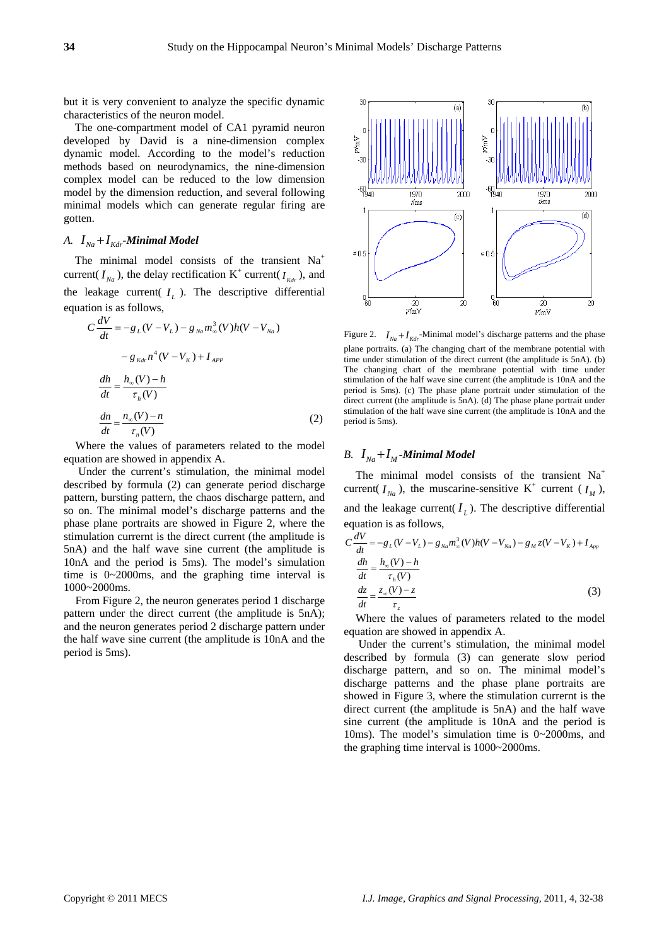but it is very convenient to analyze the specific dynamic characteristics of the neuron model.

The one-compartment model of CA1 pyramid neuron developed by David is a nine-dimension complex dynamic model. According to the model's reduction methods based on neurodynamics, the nine-dimension complex model can be reduced to the low dimension model by the dimension reduction, and several following minimal models which can generate regular firing are gotten.

## *A.*  $I_{Na} + I_{Kdr}$ -Minimal Model

The minimal model consists of the transient Na<sup>+</sup> current( $I_{Na}$ ), the delay rectification  $K^+$  current( $I_{Kdr}$ ), and the leakage current( $I_L$ ). The descriptive differential equation is as follows,

$$
C\frac{dV}{dt} = -g_L(V - V_L) - g_{Na}m_{\infty}^3(V)h(V - V_{Na})
$$
  

$$
-g_{Kdr}n^4(V - V_K) + I_{APP}
$$
  

$$
\frac{dh}{dt} = \frac{h_{\infty}(V) - h}{\tau_h(V)}
$$
  

$$
\frac{dn}{dt} = \frac{n_{\infty}(V) - n}{\tau_h(V)}
$$
 (2)

Where the values of parameters related to the model equation are showed in appendix A.

 Under the current's stimulation, the minimal model described by formula (2) can generate period discharge pattern, bursting pattern, the chaos discharge pattern, and so on. The minimal model's discharge patterns and the phase plane portraits are showed in Figure 2, where the stimulation currernt is the direct current (the amplitude is 5nA) and the half wave sine current (the amplitude is 10nA and the period is 5ms). The model's simulation time is 0~2000ms, and the graphing time interval is 1000~2000ms.

From Figure 2, the neuron generates period 1 discharge pattern under the direct current (the amplitude is 5nA); and the neuron generates period 2 discharge pattern under the half wave sine current (the amplitude is 10nA and the period is 5ms).



Figure 2.  $I_{Na} + I_{Kdr}$ -Minimal model's discharge patterns and the phase plane portraits. (a) The changing chart of the membrane potential with time under stimulation of the direct current (the amplitude is 5nA). (b) The changing chart of the membrane potential with time under stimulation of the half wave sine current (the amplitude is 10nA and the period is 5ms). (c) The phase plane portrait under stimulation of the direct current (the amplitude is 5nA). (d) The phase plane portrait under stimulation of the half wave sine current (the amplitude is 10nA and the period is 5ms).

## *B.*  $I_{N_a} + I_M$ -Minimal Model

The minimal model consists of the transient Na<sup>+</sup> current( $I_{Na}$ ), the muscarine-sensitive K<sup>+</sup> current ( $I_{M}$ ), and the leakage current( $I_L$ ). The descriptive differential equation is as follows,

$$
C\frac{dV}{dt} = -g_L(V - V_L) - g_{Na}m_\infty^3(V)h(V - V_{Na}) - g_M z(V - V_K) + I_{App}
$$
  
\n
$$
\frac{dh}{dt} = \frac{h_\infty(V) - h}{\tau_h(V)}
$$
  
\n
$$
\frac{dz}{dt} = \frac{z_\infty(V) - z}{\tau_z}
$$
\n(3)

Where the values of parameters related to the model equation are showed in appendix A.

 Under the current's stimulation, the minimal model described by formula (3) can generate slow period discharge pattern, and so on. The minimal model's discharge patterns and the phase plane portraits are showed in Figure 3, where the stimulation currernt is the direct current (the amplitude is 5nA) and the half wave sine current (the amplitude is 10nA and the period is 10ms). The model's simulation time is 0~2000ms, and the graphing time interval is 1000~2000ms.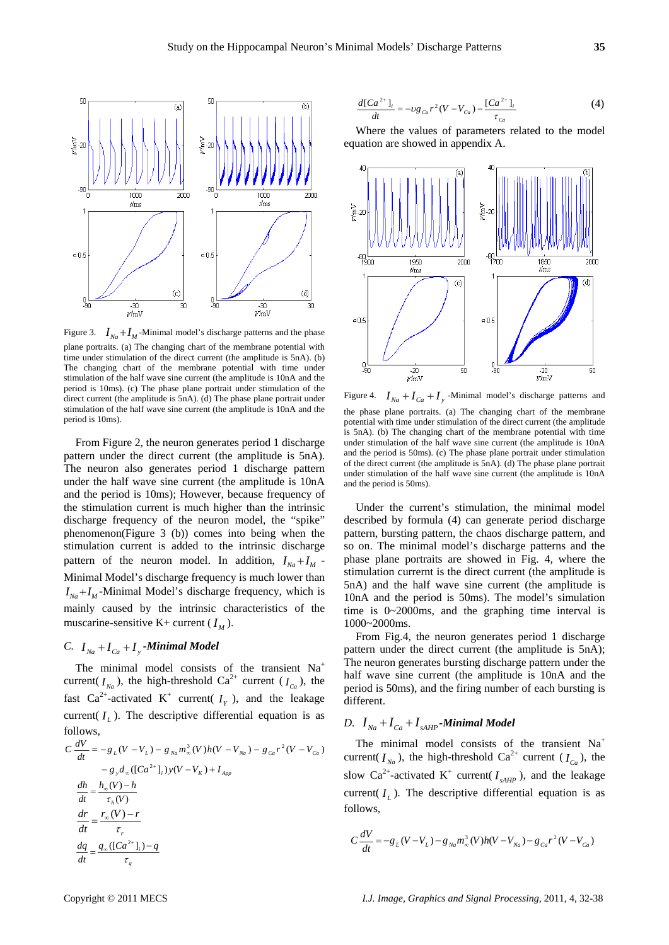

Figure 3.  $I_{Na} + I_{M}$ -Minimal model's discharge patterns and the phase plane portraits. (a) The changing chart of the membrane potential with time under stimulation of the direct current (the amplitude is 5nA). (b) The changing chart of the membrane potential with time under stimulation of the half wave sine current (the amplitude is 10nA and the period is 10ms). (c) The phase plane portrait under stimulation of the direct current (the amplitude is 5nA). (d) The phase plane portrait under stimulation of the half wave sine current (the amplitude is 10nA and the period is 10ms).

From Figure 2, the neuron generates period 1 discharge pattern under the direct current (the amplitude is 5nA). The neuron also generates period 1 discharge pattern under the half wave sine current (the amplitude is 10nA and the period is 10ms); However, because frequency of the stimulation current is much higher than the intrinsic discharge frequency of the neuron model, the "spike" phenomenon(Figure 3 (b)) comes into being when the stimulation current is added to the intrinsic discharge pattern of the neuron model. In addition,  $I_{Na} + I_M$  -Minimal Model's discharge frequency is much lower than  $I_{Na} + I_{M}$ -Minimal Model's discharge frequency, which is mainly caused by the intrinsic characteristics of the muscarine-sensitive K+ current  $(I_M)$ .

## *C.*  $I_{Na} + I_{Ca} + I_{V}$ -Minimal Model

The minimal model consists of the transient Na<sup>+</sup> current( $I_{Na}$ ), the high-threshold Ca<sup>2+</sup> current ( $I_{Ca}$ ), the fast Ca<sup>2+</sup>-activated K<sup>+</sup> current( $I<sub>y</sub>$ ), and the leakage current( $I_L$ ). The descriptive differential equation is as follows,

$$
C \frac{dV}{dt} = -g_L(V - V_L) - g_{Na}m_{\infty}^3(V)h(V - V_{Na}) - g_{Ca}r^2(V - V_{Ca})
$$
  
\n
$$
- g_{y}d_{\infty}([Ca^{2+}]_{i})y(V - V_K) + I_{App}
$$
  
\n
$$
\frac{dh}{dt} = \frac{h_{\infty}(V) - h}{\tau_h(V)}
$$
  
\n
$$
\frac{dr}{dt} = \frac{r_{\infty}(V) - r}{\tau_r}
$$
  
\n
$$
\frac{dq}{dt} = \frac{q_{\infty}([Ca^{2+}]_{i}) - q}{\tau_q}
$$

$$
\frac{d[Ca^{2+}]_{i}}{dt} = -\nu g_{ca}r^{2}(V - V_{ca}) - \frac{[Ca^{2+}]_{i}}{\tau_{ca}}
$$
(4)

Where the values of parameters related to the model equation are showed in appendix A.



Figure 4.  $I_{Na} + I_{Ca} + I_{y}$ -Minimal model's discharge patterns and the phase plane portraits. (a) The changing chart of the membrane potential with time under stimulation of the direct current (the amplitude is 5nA). (b) The changing chart of the membrane potential with time under stimulation of the half wave sine current (the amplitude is 10nA and the period is 50ms). (c) The phase plane portrait under stimulation of the direct current (the amplitude is 5nA). (d) The phase plane portrait under stimulation of the half wave sine current (the amplitude is 10nA and the period is 50ms).

Under the current's stimulation, the minimal model described by formula (4) can generate period discharge pattern, bursting pattern, the chaos discharge pattern, and so on. The minimal model's discharge patterns and the phase plane portraits are showed in Fig. 4, where the stimulation currernt is the direct current (the amplitude is 5nA) and the half wave sine current (the amplitude is 10nA and the period is 50ms). The model's simulation time is 0~2000ms, and the graphing time interval is 1000~2000ms.

From Fig.4, the neuron generates period 1 discharge pattern under the direct current (the amplitude is 5nA); The neuron generates bursting discharge pattern under the half wave sine current (the amplitude is 10nA and the period is 50ms), and the firing number of each bursting is different.

# *D.*  $I_{Na} + I_{Ca} + I_{sAHP}$ -Minimal Model

The minimal model consists of the transient Na<sup>+</sup> current( $I_{Na}$ ), the high-threshold Ca<sup>2+</sup> current ( $I_{Ca}$ ), the slow  $Ca^{2+}$ -activated K<sup>+</sup> current( $I_{sAHP}$ ), and the leakage current( $I_L$ ). The descriptive differential equation is as follows,

$$
C\frac{dV}{dt} = -g_L(V - V_L) - g_{Na}m_{\infty}^3(V)h(V - V_{Na}) - g_{Ca}r^2(V - V_{Ca})
$$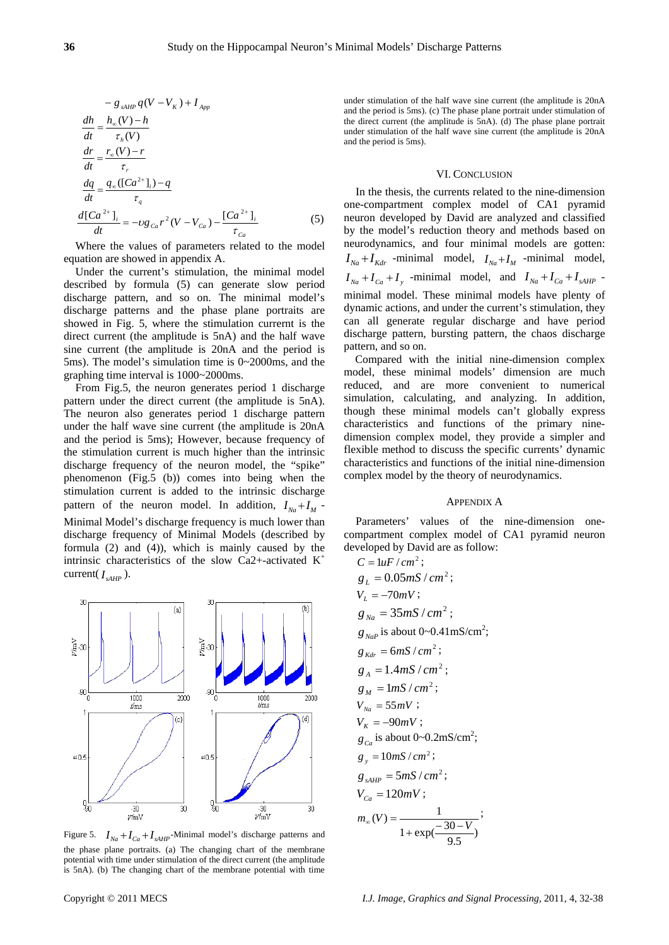$$
-g_{sAHP}q(V - V_K) + I_{App}
$$
  
\n
$$
\frac{dh}{dt} = \frac{h_{\infty}(V) - h}{\tau_h(V)}
$$
  
\n
$$
\frac{dr}{dt} = \frac{r_{\infty}(V) - r}{\tau_r}
$$
  
\n
$$
\frac{dq}{dt} = \frac{q_{\infty}([Ca^{2+}]_i) - q}{\tau_q}
$$
  
\n
$$
\frac{d[Ca^{2+}]_i}{dt} = -\nu g_{Ca}r^2(V - V_{Ca}) - \frac{[Ca^{2+}]_i}{\tau_{Ca}}
$$
\n(5)

Where the values of parameters related to the model equation are showed in appendix A.

Under the current's stimulation, the minimal model described by formula (5) can generate slow period discharge pattern, and so on. The minimal model's discharge patterns and the phase plane portraits are showed in Fig. 5, where the stimulation currernt is the direct current (the amplitude is 5nA) and the half wave sine current (the amplitude is 20nA and the period is 5ms). The model's simulation time is 0~2000ms, and the graphing time interval is 1000~2000ms.

From Fig.5, the neuron generates period 1 discharge pattern under the direct current (the amplitude is 5nA). The neuron also generates period 1 discharge pattern under the half wave sine current (the amplitude is 20nA and the period is 5ms); However, because frequency of the stimulation current is much higher than the intrinsic discharge frequency of the neuron model, the "spike" phenomenon (Fig.5 (b)) comes into being when the stimulation current is added to the intrinsic discharge pattern of the neuron model. In addition,  $I_{N_a} + I_M$ Minimal Model's discharge frequency is much lower than discharge frequency of Minimal Models (described by formula (2) and (4)), which is mainly caused by the intrinsic characteristics of the slow Ca2+-activated K<sup>+</sup> current( $I_{\text{AHP}}$ ).



Figure 5.  $I_{Na} + I_{Ca} + I_{sAHP}$ -Minimal model's discharge patterns and the phase plane portraits. (a) The changing chart of the membrane potential with time under stimulation of the direct current (the amplitude is 5nA). (b) The changing chart of the membrane potential with time

under stimulation of the half wave sine current (the amplitude is 20nA and the period is 5ms). (c) The phase plane portrait under stimulation of the direct current (the amplitude is 5nA). (d) The phase plane portrait under stimulation of the half wave sine current (the amplitude is 20nA and the period is 5ms).

#### VI. CONCLUSION

In the thesis, the currents related to the nine-dimension one-compartment complex model of CA1 pyramid neuron developed by David are analyzed and classified by the model's reduction theory and methods based on neurodynamics, and four minimal models are gotten:  $I_{Na} + I_{Kdr}$  -minimal model,  $I_{Na} + I_{M}$  -minimal model,  $I_{Na} + I_{Ca} + I_{y}$  -minimal model, and  $I_{Na} + I_{Ca} + I_{sAHP}$  minimal model. These minimal models have plenty of dynamic actions, and under the current's stimulation, they can all generate regular discharge and have period discharge pattern, bursting pattern, the chaos discharge pattern, and so on.

Compared with the initial nine-dimension complex model, these minimal models' dimension are much reduced, and are more convenient to numerical simulation, calculating, and analyzing. In addition, though these minimal models can't globally express characteristics and functions of the primary ninedimension complex model, they provide a simpler and flexible method to discuss the specific currents' dynamic characteristics and functions of the initial nine-dimension complex model by the theory of neurodynamics.

#### APPENDIX A

Parameters' values of the nine-dimension onecompartment complex model of CA1 pyramid neuron developed by David are as follow:<br> $C_1 + C_2$ 

C = 
$$
\ln F/cm^2
$$
;  
\n $g_L = 0.05mS/cm^2$ ;  
\n $V_L = -70mV$ ;  
\n $g_{Na} = 35mS/cm^2$ ;  
\n $g_{NaP}$  is about 0-0.41mS/cm<sup>2</sup>;  
\n $g_{Kdr} = 6mS/cm^2$ ;  
\n $g_A = 1.4mS/cm^2$ ;  
\n $g_M = 1mS/cm^2$ ;  
\n $V_{Na} = 55mV$ ;  
\n $V_{K} = -90mV$ ;  
\n $g_{Ca}$  is about 0-0.2mS/cm<sup>2</sup>;  
\n $g_{SAHP} = 5mS/cm^2$ ;  
\n $g_{SAHP} = 5mS/cm^2$ ;  
\n $V_{Ca} = 120mV$ ;  
\n $m_{\infty}(V) = \frac{1}{1 + \exp(\frac{-30-V}{9.5})}$ 

Copyright © 2011 MECS *I.J. Image, Graphics and Signal Processing,* 2011, 4, 32-38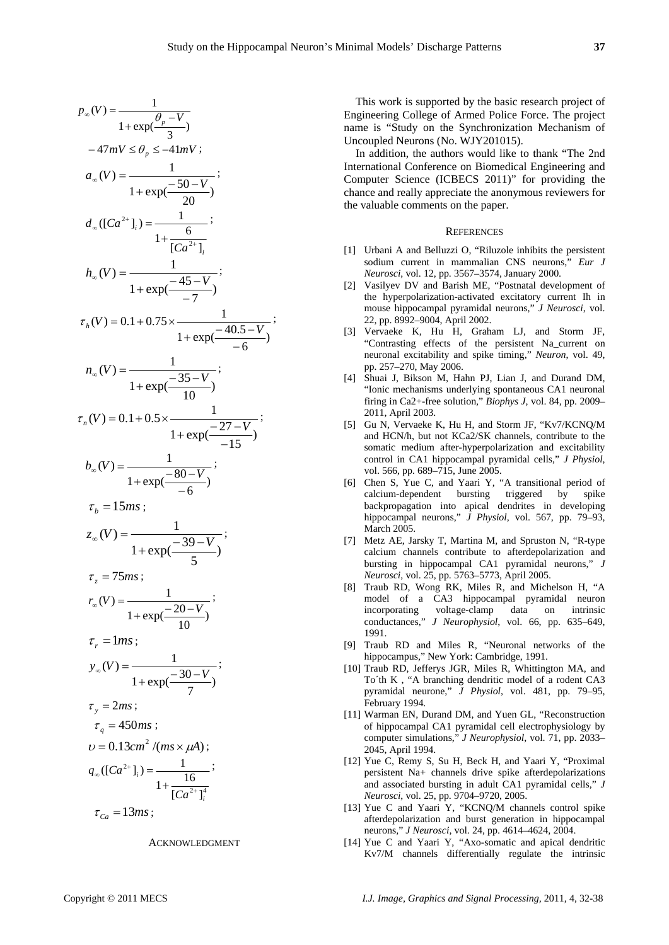$$
p_{\infty}(V) = \frac{1}{1 + \exp(\frac{\theta_{p} - V}{3})}
$$
  
\n
$$
-47mV \le \theta_{p} \le -41mV;
$$
  
\n
$$
a_{\infty}(V) = \frac{1}{1 + \exp(\frac{-50 - V}{20})};
$$
  
\n
$$
d_{\infty}([Ca^{2+1}]_{i}) = \frac{1}{1 + \frac{6}{[Ca^{2+1}]_{i}}};
$$
  
\n
$$
h_{\infty}(V) = \frac{1}{1 + \exp(\frac{-45 - V}{-7})};
$$
  
\n
$$
\tau_{h}(V) = 0.1 + 0.75 \times \frac{1}{1 + \exp(\frac{-40.5 - V}{-6})};
$$
  
\n
$$
n_{\infty}(V) = \frac{1}{1 + \exp(\frac{-35 - V}{10})};
$$
  
\n
$$
\tau_{n}(V) = 0.1 + 0.5 \times \frac{1}{1 + \exp(\frac{-27 - V}{-15})};
$$
  
\n
$$
b_{\infty}(V) = \frac{1}{1 + \exp(\frac{-80 - V}{-6})};
$$
  
\n
$$
\tau_{b} = 15m s;
$$
  
\n
$$
z_{\infty}(V) = \frac{1}{1 + \exp(\frac{-39 - V}{5})};
$$
  
\n
$$
\tau_{z} = 75m s;
$$
  
\n
$$
r_{\infty}(V) = \frac{1}{1 + \exp(\frac{-30 - V}{10})};
$$
  
\n
$$
\tau_{r} = 1m s;
$$
  
\n
$$
y_{\infty}(V) = \frac{1}{1 + \exp(\frac{-30 - V}{7})};
$$
  
\n
$$
\tau_{y} = 2m s;
$$
  
\n
$$
\tau_{q} = 450m s;
$$
  
\n
$$
v = 0.13cm^{2}/(m s \times \mu A);
$$
  
\n
$$
q_{\infty}([Ca^{2+1}]_{i}) = \frac{1}{1 + \frac{16}{[Ca^{2+1}]_{i}}};
$$
  
\n
$$
\tau_{Ca} = 13m s;
$$

#### ACKNOWLEDGMENT

This work is supported by the basic research project of Engineering College of Armed Police Force. The project name is "Study on the Synchronization Mechanism of Uncoupled Neurons (No. WJY201015).

In addition, the authors would like to thank "The 2nd International Conference on Biomedical Engineering and Computer Science (ICBECS 2011)" for providing the chance and really appreciate the anonymous reviewers for the valuable comments on the paper.

#### **REFERENCES**

- [1] Urbani A and Belluzzi O, "Riluzole inhibits the persistent sodium current in mammalian CNS neurons," *Eur J Neurosci*, vol. 12, pp. 3567–3574, January 2000.
- [2] Vasilyev DV and Barish ME, "Postnatal development of the hyperpolarization-activated excitatory current Ih in mouse hippocampal pyramidal neurons," *J Neurosci*, vol. 22, pp. 8992–9004, April 2002.
- [3] Vervaeke K, Hu H, Graham LJ, and Storm JF, "Contrasting effects of the persistent Na\_current on neuronal excitability and spike timing," *Neuron*, vol. 49, pp. 257–270, May 2006.
- [4] Shuai J, Bikson M, Hahn PJ, Lian J, and Durand DM, "Ionic mechanisms underlying spontaneous CA1 neuronal firing in Ca2+-free solution," *Biophys J*, vol. 84, pp. 2009– 2011, April 2003.
- [5] Gu N, Vervaeke K, Hu H, and Storm JF, "Kv7/KCNQ/M and HCN/h, but not KCa2/SK channels, contribute to the somatic medium after-hyperpolarization and excitability control in CA1 hippocampal pyramidal cells," *J Physiol*, vol. 566, pp. 689–715, June 2005.
- [6] Chen S, Yue C, and Yaari Y, "A transitional period of calcium-dependent bursting triggered by spike backpropagation into apical dendrites in developing hippocampal neurons," *J Physiol*, vol. 567, pp. 79–93, March 2005.
- [7] Metz AE, Jarsky T, Martina M, and Spruston N, "R-type calcium channels contribute to afterdepolarization and bursting in hippocampal CA1 pyramidal neurons," *J Neurosci*, vol. 25, pp. 5763–5773, April 2005.
- [8] Traub RD, Wong RK, Miles R, and Michelson H, "A model of a CA3 hippocampal pyramidal neuron incorporating voltage-clamp data on intrinsic conductances," *J Neurophysiol*, vol. 66, pp. 635–649, 1991.
- [9] Traub RD and Miles R, "Neuronal networks of the hippocampus," New York: Cambridge, 1991.
- [10] Traub RD, Jefferys JGR, Miles R, Whittington MA, and To´th K , "A branching dendritic model of a rodent CA3 pyramidal neurone," *J Physiol*, vol. 481, pp. 79–95, February 1994.
- [11] Warman EN, Durand DM, and Yuen GL, "Reconstruction of hippocampal CA1 pyramidal cell electrophysiology by computer simulations," *J Neurophysiol*, vol. 71, pp. 2033– 2045, April 1994.
- [12] Yue C, Remy S, Su H, Beck H, and Yaari Y, "Proximal persistent Na+ channels drive spike afterdepolarizations and associated bursting in adult CA1 pyramidal cells," *J Neurosci*, vol. 25, pp. 9704–9720, 2005.
- [13] Yue C and Yaari Y, "KCNQ/M channels control spike afterdepolarization and burst generation in hippocampal neurons," *J Neurosci*, vol. 24, pp. 4614–4624, 2004.
- [14] Yue C and Yaari Y, "Axo-somatic and apical dendritic Kv7/M channels differentially regulate the intrinsic